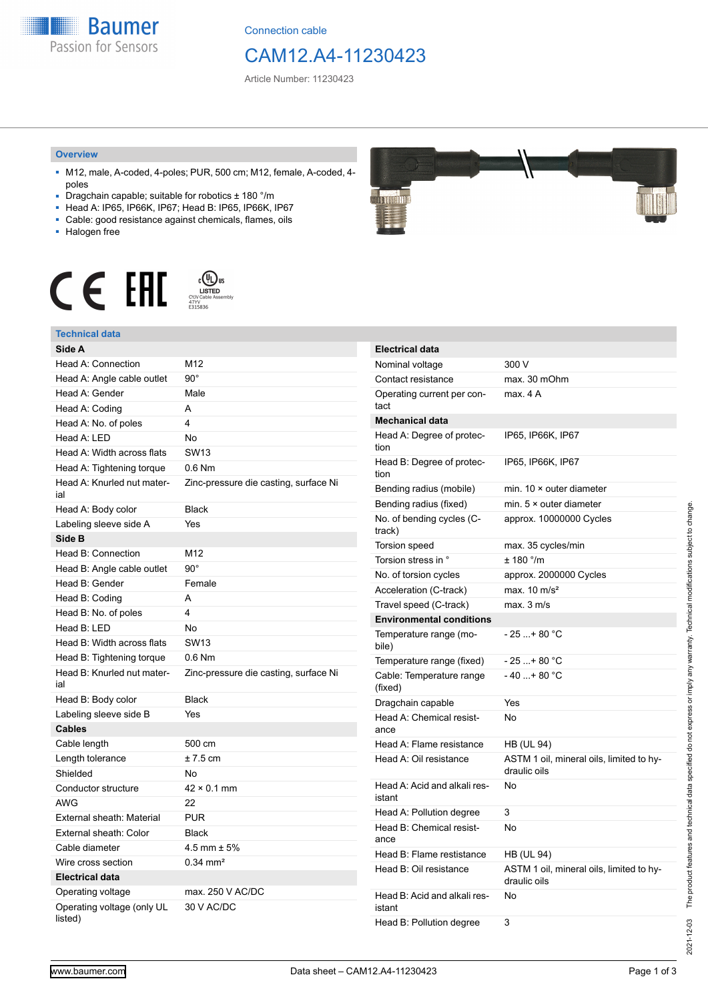**Baumer** Passion for Sensors

Connection cable

# CAM12.A4-11230423

Article Number: 11230423

#### **Overview**

- M12, male, A-coded, 4-poles; PUR, 500 cm; M12, female, A-coded, 4 poles
- Dragchain capable; suitable for robotics ± 180 °/m
- Head A: IP65, IP66K, IP67; Head B: IP65, IP66K, IP67
- Cable: good resistance against chemicals, flames, oils
- Halogen free



# **Technical data**

| Side A                                |                                       |
|---------------------------------------|---------------------------------------|
| Head A: Connection                    | M12                                   |
| Head A: Angle cable outlet            | $90^{\circ}$                          |
| Head A: Gender                        | Male                                  |
| Head A: Coding                        | A                                     |
| Head A: No. of poles                  | 4                                     |
| Head A: LED                           | No                                    |
| Head A: Width across flats            | <b>SW13</b>                           |
| Head A: Tightening torque             | $0.6$ Nm                              |
| Head A: Knurled nut mater-<br>ial     | Zinc-pressure die casting, surface Ni |
| Head A: Body color                    | <b>Black</b>                          |
| Labeling sleeve side A                | Yes                                   |
| Side B                                |                                       |
| Head B: Connection                    | M12                                   |
| Head B: Angle cable outlet            | $90^{\circ}$                          |
| Head B: Gender                        | Female                                |
| Head B: Coding                        | A                                     |
| Head B: No. of poles                  | 4                                     |
| Head B: LED                           | No                                    |
| Head B: Width across flats            | <b>SW13</b>                           |
| Head B: Tightening torque             | $0.6$ Nm                              |
| Head B: Knurled nut mater-<br>ial     | Zinc-pressure die casting, surface Ni |
| Head B: Body color                    | <b>Black</b>                          |
| Labeling sleeve side B                | Yes                                   |
| <b>Cables</b>                         |                                       |
| Cable length                          | 500 cm                                |
| Length tolerance                      | $± 7.5$ cm                            |
| Shielded                              | No                                    |
| Conductor structure                   | $42 \times 0.1$ mm                    |
| AWG                                   | 22                                    |
| External sheath: Material             | <b>PUR</b>                            |
| External sheath: Color                | <b>Black</b>                          |
| Cable diameter                        | $4.5$ mm $\pm 5\%$                    |
| Wire cross section                    | $0.34$ mm <sup>2</sup>                |
| <b>Electrical data</b>                |                                       |
| Operating voltage                     | max. 250 V AC/DC                      |
| Operating voltage (only UL<br>listed) | 30 V AC/DC                            |



| <b>Electrical data</b>                 |                                                          |
|----------------------------------------|----------------------------------------------------------|
| Nominal voltage                        | 300 V                                                    |
| Contact resistance                     | max. 30 mOhm                                             |
| Operating current per con-<br>tact     | max. 4 A                                                 |
| <b>Mechanical data</b>                 |                                                          |
| Head A: Degree of protec-<br>tion      | IP65, IP66K, IP67                                        |
| Head B: Degree of protec-<br>tion      | IP65, IP66K, IP67                                        |
| Bending radius (mobile)                | min. 10 × outer diameter                                 |
| Bending radius (fixed)                 | min. $5 \times$ outer diameter                           |
| No. of bending cycles (C-<br>track)    | approx. 10000000 Cycles                                  |
| Torsion speed                          | max. 35 cycles/min                                       |
| Torsion stress in °                    | ± 180 °/m                                                |
| No. of torsion cycles                  | approx. 2000000 Cycles                                   |
| Acceleration (C-track)                 | max. $10 \text{ m/s}^2$                                  |
| Travel speed (C-track)                 | max. 3 m/s                                               |
| <b>Environmental conditions</b>        |                                                          |
| Temperature range (mo-<br>bile)        | - 25 + 80 °C                                             |
| Temperature range (fixed)              | - 25 + 80 °C                                             |
| Cable: Temperature range<br>(fixed)    | $-40+80 °C$                                              |
| Dragchain capable                      | Yes                                                      |
| Head A: Chemical resist-<br>ance       | No                                                       |
| Head A: Flame resistance               | <b>HB (UL 94)</b>                                        |
| Head A: Oil resistance                 | ASTM 1 oil, mineral oils, limited to hy-<br>draulic oils |
| Head A: Acid and alkali res-<br>istant | No                                                       |
| Head A: Pollution degree               | 3                                                        |
| Head B: Chemical resist-<br>ance       | No                                                       |
| Head B: Flame restistance              | HB (UL 94)                                               |
| Head B: Oil resistance                 | ASTM 1 oil, mineral oils, limited to hy-<br>draulic oils |
| Head B: Acid and alkali res-<br>istant | No                                                       |
| Head B: Pollution degree               | 3                                                        |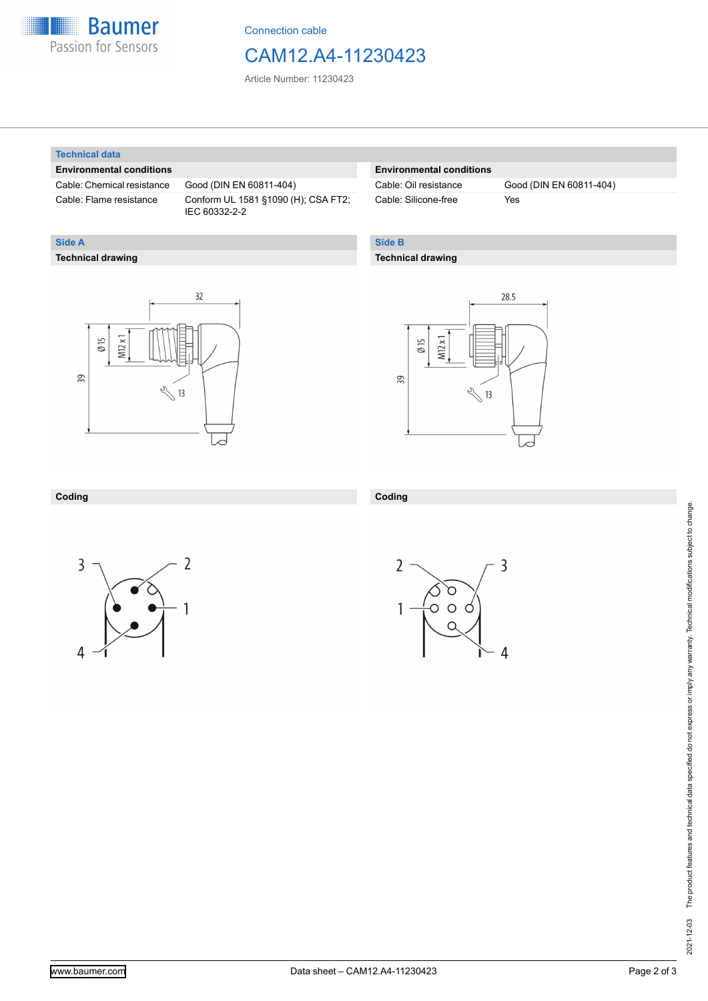

Connection cable

# CAM12.A4-11230423

Article Number: 11230423

### **Technical data**

**Technical drawing**

**Side A**

### **Environmental conditions**

Cable: Chemical resistance Good (DIN EN 60811-404)

Cable: Flame resistance Conform UL 1581 §1090 (H); CSA FT2; IEC 60332-2-2

## **Environmental conditions**

Cable: Silicone-free Yes

Cable: Oil resistance Good (DIN EN 60811-404)

# **Side B**

### **Technical drawing**

 $32$  $M12x1$  $\emptyset$  15 39  $\sqrt[3]{13}$ 



### **Coding**



**Coding**